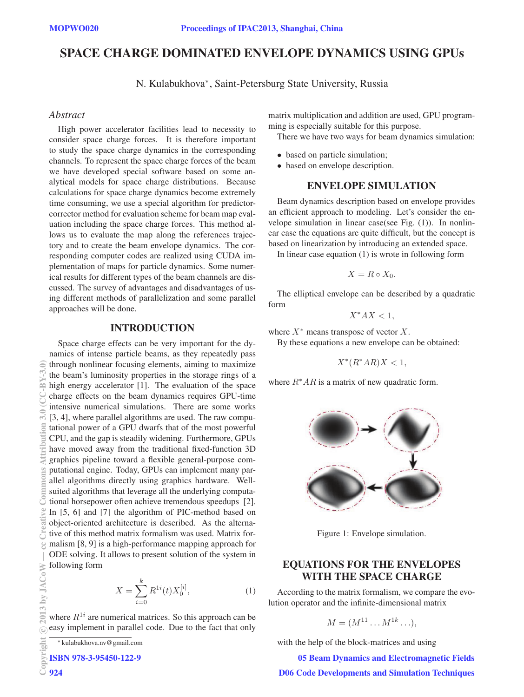# SPACE CHARGE DOMINATED ENVELOPE DYNAMICS USING GPUs

N. Kulabukhova∗, Saint-Petersburg State University, Russia

### **Abstract**

*Abstract* High power accelerator facilities lead to necessity to consider space charge forces. It is therefore important to study the space charge dynamics in the corresponding channels. To represent the space charge forces of the beam we have developed special software based on some analytical models for space charge distributions. Because calculations for space charge dynamics become extremely time consuming, we use a special algorithm for predictorcorrector method for evaluation scheme for beam map evaluation including the space charge forces. This method allows us to evaluate the map along the references trajectory and to create the beam envelope dynamics. The corresponding computer codes are realized using CUDA implementation of maps for particle dynamics. Some numerical results for different types of the beam channels are discussed. The survey of advantages and disadvantages of using different methods of parallelization and some parallel approaches will be done.

### INTRODUCTION

Space charge effects can be very important for the dynamics of intense particle beams, as they repeatedly pass through nonlinear focusing elements, aiming to maximize the beam's luminosity properties in the storage rings of a high energy accelerator [1]. The evaluation of the space charge effects on the beam dynamics requires GPU-time intensive numerical simulations. There are some works [3, 4], where parallel algorithms are used. The raw computational power of a GPU dwarfs that of the most powerful CPU, and the gap is steadily widening. Furthermore, GPUs have moved away from the traditional fixed-function 3D graphics pipeline toward a flexible general-purpose computational engine. Today, GPUs can implement many parallel algorithms directly using graphics hardware. Wellsuited algorithms that leverage all the underlying computational horsepower often achieve tremendous speedups [2]. In [5, 6] and [7] the algorithm of PIC-method based on object-oriented architecture is described. As the alternative of this method matrix formalism was used. Matrix formalism [8, 9] is a high-performance mapping approach for ODE solving. It allows to present solution of the system in following form

$$
X = \sum_{i=0}^{k} R^{1i}(t) X_0^{[i]},
$$
 (1)

where  $R^{1i}$  are numerical matrices. So this approach can be easy implement in parallel code. Due to the fact that only matrix multiplication and addition are used, GPU programming is especially suitable for this purpose.

There we have two ways for beam dynamics simulation:

- based on particle simulation;
- based on envelope description.

## ENVELOPE SIMULATION

Beam dynamics description based on envelope provides an efficient approach to modeling. Let's consider the envelope simulation in linear case(see Fig. (1)). In nonlinear case the equations are quite difficult, but the concept is based on linearization by introducing an extended space.

In linear case equation (1) is wrote in following form

$$
X=R\circ X_0.
$$

The elliptical envelope can be described by a quadratic form

$$
X^*AX<1,
$$

where  $X^*$  means transpose of vector  $X$ .

By these equations a new envelope can be obtained:

$$
X^*(R^*AR)X < 1,
$$

where  $R^*AR$  is a matrix of new quadratic form.



Figure 1: Envelope simulation.

# EQUATIONS FOR THE ENVELOPES WITH THE SPACE CHARGE

According to the matrix formalism, we compare the evolution operator and the infinite-dimensional matrix

$$
M = (M^{11} \dots M^{1k} \dots),
$$

with the help of the block-matrices and using

05 Beam Dynamics and Electromagnetic Fields D06 Code Developments and Simulation Techniques

<sup>∗</sup> kulabukhova.nv@gmail.com

ISBN 978-3-95450-122-9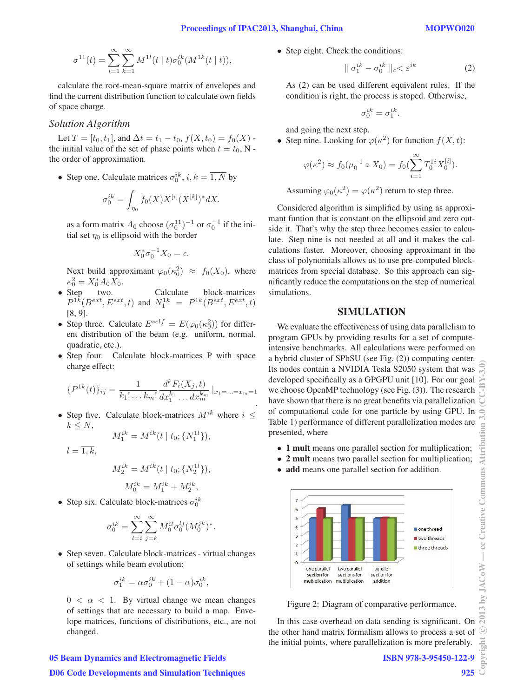$$
\sigma^{11}(t) = \sum_{l=1}^{\infty} \sum_{k=1}^{\infty} M^{1l}(t \mid t) \sigma_0^{lk}(M^{1k}(t \mid t)),
$$

calculate the root-mean-square matrix of envelopes and find the current distribution function to calculate own fields of space charge.

### **Solution Algorithm**

Let  $T = [t_0, t_1]$ , and  $\Delta t = t_1 - t_0$ ,  $f(X, t_0) = f_0(X)$ . the initial value of the set of phase points when  $t = t_0$ , Nthe order of approximation.

• Step one. Calculate matrices  $\sigma_0^{ik}$ ,  $i, k = \overline{1, N}$  by

$$
\sigma_0^{ik} = \int_{\eta_0} f_0(X) X^{[i]} (X^{[k]})^* dX.
$$

as a form matrix  $A_0$  choose  $(\sigma_0^{11})^{-1}$  or  $\sigma_0^{-1}$  if the initial set  $\eta_0$  is ellipsoid with the border

$$
X_0^* \sigma_0^{-1} X_0 = \epsilon.
$$

Next build approximant  $\varphi_0(\kappa_0^2) \approx f_0(X_0)$ , where  $\kappa_0^2 = X_0^* A_0 X_0.$ 

- Step two. Calculate block-matrices  $P^{1k}(B^{ext}, E^{ext}, t)$  and  $N_1^{1k} = P^{1k}(B^{ext}, E^{ext}, t)$ [8, 9].
- Step three. Calculate  $E^{self} = E(\varphi_0(\kappa_0^2))$  for different distribution of the beam (e.g. uniform, normal, quadratic, etc.).
- Step four. Calculate block-matrices P with space charge effect:

$$
\{P^{1k}(t)\}_{ij} = \frac{1}{k_1! \dots k_m!} \frac{d^k F_i(X_j, t)}{dx_1^{k_1} \dots dx_m^{k_m}}|_{x_1 = \dots = x_m = 1}
$$

• Step five. Calculate block-matrices  $M^{ik}$  where  $i \leq$  $k \leq N$ ,

$$
M_1^{ik} = M^{ik}(t \mid t_0; \{N_1^{1l}\}),
$$

$$
l=\overline{1,k},
$$

$$
M_2^{ik} = M^{ik}(t | t_0; \{N_2^{1l}\}),
$$
  

$$
M_0^{ik} = M_1^{ik} + M_2^{ik},
$$

• Step six. Calculate block-matrices  $\sigma_0^{ik}$ 

$$
\sigma_0^{ik} = \sum_{l=i}^{\infty} \sum_{j=k}^{\infty} M_0^{il} \sigma_0^{lj} (M_0^{jk})^*.
$$

• Step seven. Calculate block-matrices - virtual changes of settings while beam evolution:

$$
\sigma_1^{ik} = \alpha \sigma_0^{ik} + (1 - \alpha) \sigma_0^{ik},
$$

 $0 < \alpha < 1$ . By virtual change we mean changes of settings that are necessary to build a map. Envelope matrices, functions of distributions, etc., are not changed.

# 05 Beam Dynamics and Electromagnetic Fields

• Step eight. Check the conditions:

$$
\parallel \sigma_1^{ik} - \sigma_0^{ik} \parallel_c < \varepsilon^{ik} \tag{2}
$$

As (2) can be used different equivalent rules. If the condition is right, the process is stoped. Otherwise,

$$
\sigma_0^{ik} = \sigma_1^{ik}.
$$

and going the next step.

• Step nine. Looking for  $\varphi(\kappa^2)$  for function  $f(X, t)$ :

$$
\varphi(\kappa^2) \approx f_0(\mu_0^{-1} \circ X_0) = f_0(\sum_{i=1}^{\infty} T_0^{1i} X_0^{[i]}).
$$

Assuming  $\varphi_0(\kappa^2) = \varphi(\kappa^2)$  return to step three.

Considered algorithm is simplified by using as approximant funtion that is constant on the ellipsoid and zero outside it. That's why the step three becomes easier to calculate. Step nine is not needed at all and it makes the calculations faster. Moreover, choosing approximant in the class of polynomials allows us to use pre-computed blockmatrices from special database. So this approach can significantly reduce the computations on the step of numerical simulations.

### SIMULATION

We evaluate the effectiveness of using data parallelism to program GPUs by providing results for a set of computeintensive benchmarks. All calculations were performed on a hybrid cluster of SPbSU (see Fig. (2)) computing center. Its nodes contain a NVIDIA Tesla S2050 system that was developed specifically as a GPGPU unit [10]. For our goal we choose OpenMP technology (see Fig. (3)). The research have shown that there is no great benefits via parallelization of computational code for one particle by using GPU. In Table 1) performance of different parallelization modes are presented, where

- 1 mult means one parallel section for multiplication;
- 2 mult means two parallel section for multiplication;
- add means one parallel section for addition.



Figure 2: Diagram of comparative performance.

In this case overhead on data sending is significant. On the other hand matrix formalism allows to process a set of the initial points, where parallelization is more preferably.

ISBN 978-3-95450-122-9